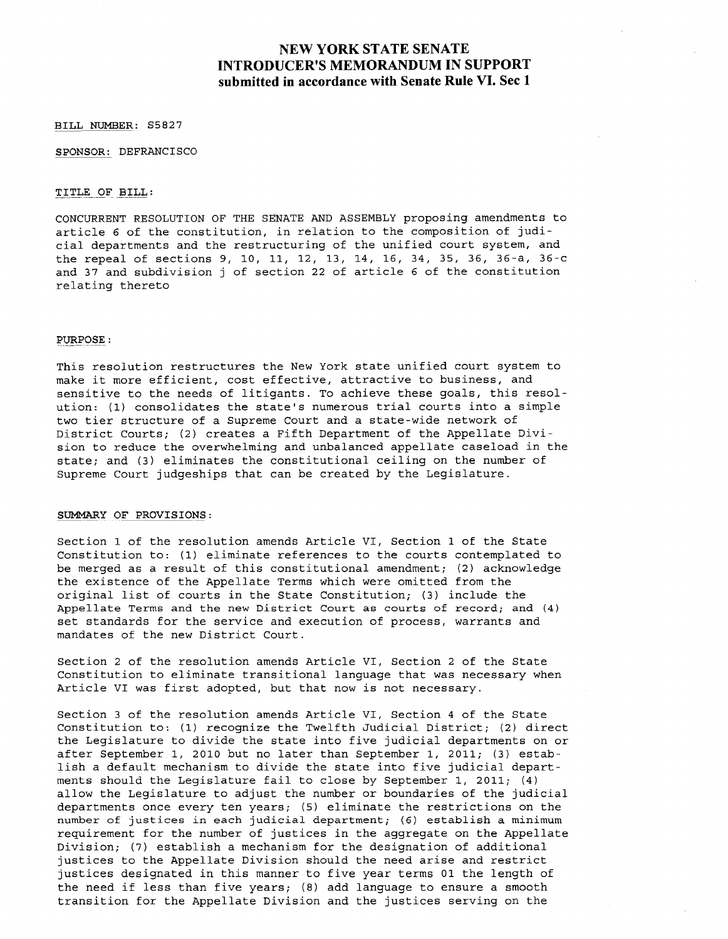# **NEW YORK STATE SENATE INTRODUCER'S MEMORANDUM IN SUPPORT submitted in accordance with Senate Rule VI. Sec 1**

BILL NUMBER: S5827

SPONSOR: DEFRANCISCO

## TITLE OF BILL:

CONCURRENT RESOLUTION OF THE SENATE AND ASSEMBLY proposing amendments to article <sup>6</sup> of the constitution, in relation to the composition of judicial departments and the restructuring of the unified court system, and the repeal of sections 9, 10, 11, 12, 13, 14, 16, 34, 35, 36, 36-a, 36-c and <sup>37</sup> and subdivision <sup>j</sup> of section <sup>22</sup> of article <sup>6</sup> of the constitution relating thereto

#### ${\tt PURPOSE}$  :

This resolution restructures the New York state unified court system to make it more efficient, cost effective, attractive to business, and sensitive to the needs of litigants. To achieve these goals, this resolution: (1) consolidates the state's numerous trial courts into <sup>a</sup> simple two tier structure of <sup>a</sup> Supreme Court and <sup>a</sup> state-wide network of District Courts; (2) creates <sup>a</sup> Fifth Department of the Appellate Division to reduce the overwhelming and unbalanced appellate caseload in the state; and (3) eliminates the constitutional ceiling on the number of Supreme Court judgeships that can be created by the Legislature.

#### SUMMARY OF PROVISIONS:

Section 1 of the resolution amends Article VI, Section 1 of the State Constitution to: (1) eliminate references to the courts contemplated to be merged as <sup>a</sup> result of this constitutional amendment; (2) acknowledge the existence of the Appellate Terms which were omitted from the original list of courts in the State Constitution; (3) include the Appellate Terms and the new District Court as courts of record; and (4) set standards for the service and execution of process, warrants and mandates of the new District Court.

Section 2 of the resolution amends Article VI, Section 2 of the State Constitution to eliminate transitional language that was necessary when Article VI was first adopted, but that now is not necessary.

Section 3 of the resolution amends Article VI, Section 4 of the State Constitution to: (1) recognize the Twelfth Judicial District; (2) direct the Legislature to divide the state into five judicial departments on or after September 1, 2010 but no later than September 1, 2011; (3) establish <sup>a</sup> default mechanism to divide the state into five judicial departments should the Legislature fail to close by September I, 2011; (4) allow the Legislature to adjust the number or boundaries of the judicial departments once every ten years; (5) eliminate the restrictions on the number of justices in each judicial department; (6) establish <sup>a</sup> *minimum* requirement for the number of justices in the aggregate on the Appellate Division; (7) establish <sup>a</sup> mechanism for the designation of additional justices to the Appellate Division should the need arise and restrict justices designated in this manner to five year terms <sup>01</sup> the length of the need if less than five years; (8) add language to ensure <sup>a</sup> smooth transition for the Appellate Division and the justices serving on the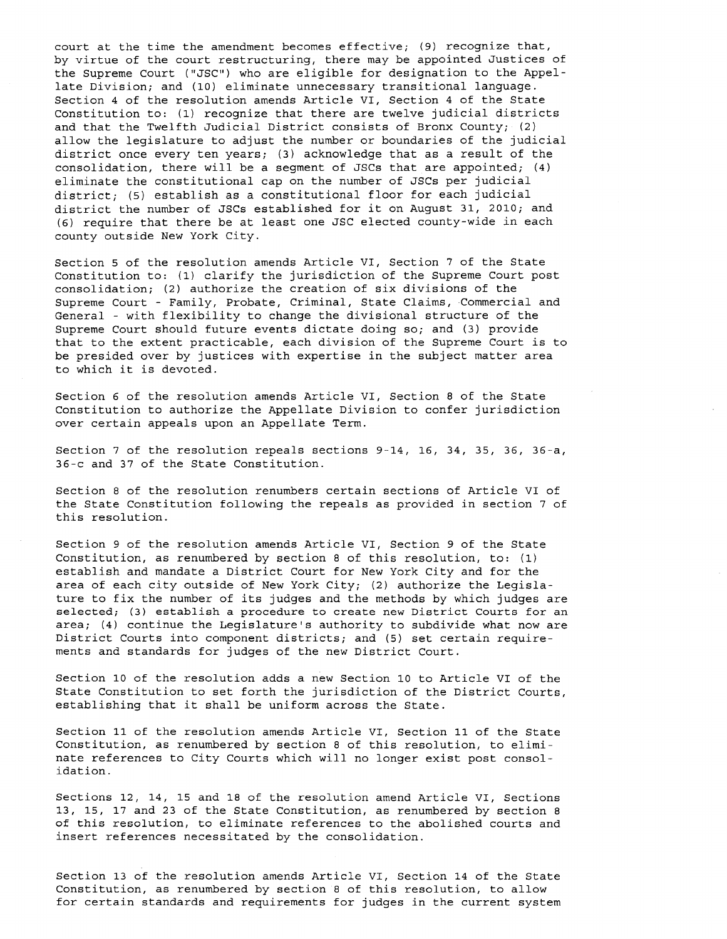court at the time the amendment becomes effective; (9) recognize that, by virtue of the court restructuring, there may be appointed Justices of the Supreme Court ("JSC") who are eligible for designation to the Appellate Division; and (10) eliminate unnecessary transitional language. Section 4 of the resolution amends Article VI, Section 4 of the State Constitution to: (1) recognize that there are twelve judicial districts and that the Twelfth Judicial District consists of Bronx County; (2) allow the legislature to adjust the number or boundaries of the judicial district once every ten years; (3) acknowledge that as <sup>a</sup> result of the consolidation, there will be <sup>a</sup> segment of JSCs that are appointed; (4) eliminate the constitutional cap on the number of JSCs per judicial district; (5) establish as <sup>a</sup> constitutional floor for each judicial district the number of JSCs established for it on August 31, 2010; and (6) require that there be at least one JSC elected county-wide in each county outside New York City.

Section 5 of the resolution amends Article VI, Section 7 of the State Constitution to: (1) clarify the jurisdiction of the Supreme Court post consolidation; (2) authorize the creation of six divisions of the Supreme Court - Family, Probate, Criminal, State Claims, Commercial and General - with flexibility to change the divisional structure of the Supreme Court should future events dictate doing so; and (3) provide that to the extent practicable, each division of the Supreme Court is to be presided over by justices with expertise in the subject matter area to which it is devoted.

Section 6 of the resolution amends Article VI, Section 8 of the State Constitution to authorize the Appellate Division to confer jurisdiction over certain appeals upon an Appellate Term.

Section 7 of the resolution repeals sections 9-14, 16, 34, 35, 36, 36-a, 36-c and 37 of the State Constitution.

Section 8 of the resolution renumbers certain sections of Article VI of the State Constitution following the repeals as provided in section 7 of this resolution.

Section 9 of the resolution amends Article VI, Section 9 of the State Constitution, as renumbered by section <sup>8</sup> of this resolution, to: (1) establish and mandate <sup>a</sup> District Court for New York City and for the area of each city outside of New York City; (2) authorize the Legislature to fix the number of its judges and the methods by which judges are selected; (3) establish <sup>a</sup> procedure to create new District Courts for an area; (4) continue the Legislature's authority to subdivide what now are District Courts into component districts; and (5) set certain requirements and standards for judges of the new District Court.

Section 10 of the resolution adds a new Section 10 to Article VI of the State Constitution to set forth the jurisdiction of the District Courts, establishing that it shall be uniform across the State.

Section 11 of the resolution amends Article VI, Section 11 of the State Constitution, as renumbered by section <sup>8</sup> of this resolution, to eliminate references to City Courts which will no longer exist post consolidation.

Sections 12, 14, 15 and 18 of the resolution amend Article VI, Sections 13, 15, 17 and 23 of the State Constitution, as renumbered by section 8 of this resolution, to eliminate references to the abolished courts and insert references necessitated by the consolidation.

Section 13 of the resolution amends Article VI, Section 14 of the State Constitution, as renumbered by section <sup>8</sup> of this resolution, to allow for certain standards and requirements for judges in the current system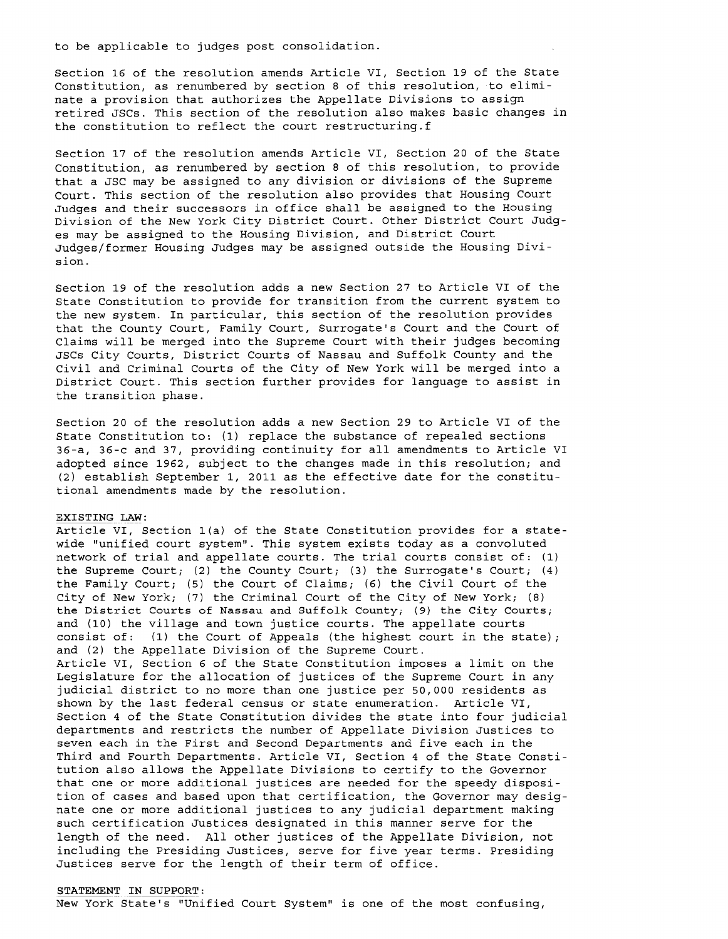to be applicable to judges post consolidation.

Section 16 of the resolution amends Article VI, Section 19 of the State Constitution, as renumbered by section <sup>8</sup> of this resolution, to eliminate <sup>a</sup> provision that authorizes the Appellate Divisions to assign retired JSCs. This section of the resolution also makes basic changes in the constitution to reflect the court restructuring.f

Section 17 of the resolution amends Article VI, Section 20 of the State Constitution, as renumbered by section <sup>8</sup> of this resolution, to provide that <sup>a</sup> JSC may be assigned to any division or divisions of the Supreme Court. This section of the resolution also provides that Housing Court Judges and their successors in office shall be assigned to the Housing Division of the New York City District Court. Other District Court Judges may be assigned to the Housing Division, and District Court Judges/former Housing Judges may be assigned outside the Housing Division.

Section 19 of the resolution adds <sup>a</sup> new Section 27 to Article VI of the State Constitution to provide for transition from the current system to the new system. In particular, this section of the resolution provides that the County Court, Family Court, Surrogate's Court and the Court of Claims will be merged into the Supreme Court with their judges becoming JSCs City Courts, District Courts of Nassau and Suffolk County and the Civil and Criminal Courts of the City of New York will be merged into <sup>a</sup> District Court. This section further provides for language to assist in the transition phase.

Section 20 of the resolution adds <sup>a</sup> new Section 29 to Article VI of the State Constitution to: (1) replace the substance of repealed sections 36-a, 36-c and 37, providing continuity for all amendments to Article VI adopted since 1962, subject to the changes made in this resolution; and (2) establish September 1, 2011 as the effective date for the constitutional amendments made by the resolution.

#### EXISTING LAW:

Article VI, Section l(a) of the State Constitution provides for <sup>a</sup> statewide "unified court system". This system exists today as <sup>a</sup> convoluted network of trial and appellate courts. The trial courts consist of: (1) the Supreme Court; (2) the County Court; (3) the Surrogate's Court; (4) the Family Court; (5) the Court of Claims; (6) the Civil Court of the City of New York; (7) the Criminal Court of the City of New York; (8) the District Courts of Nassau and Suffolk County; (9) the City Courts; and (10) the village and town justice courts. The appellate courts consist of: (1) the Court of Appeals (the highest court in the state); and (2) the Appellate Division of the Supreme Court. Article VI, Section <sup>6</sup> of the State Constitution imposes <sup>a</sup> limit on the Legislature for the allocation of justices of the Supreme Court in any judicial district to no more than one justice per 50,000 residents as shown by the last federal census or state enumeration. Article VI, Section <sup>4</sup> of the State Constitution divides the state into four judicial departments and restricts the number of Appellate Division Justices to seven each in the First and Second Departments and five each in the Third and Fourth Departments. Article VI, Section <sup>4</sup> of the State Constitution also allows the Appellate Divisions to certify to the Governor that one or more additional justices are needed for the speedy disposition of cases and based upon that certification, the Governor may designate one or more additional justices to any judicial department making such certification Justices designated in this manner serve for the length of the need. All other justices of the Appellate Division, not including the Presiding Justices, serve for five year terms. Presiding Justices serve for the length of their term of office.

#### STATEMENT IN SUPPORT:

New York State's "Unified Court System" is one of the most confusing,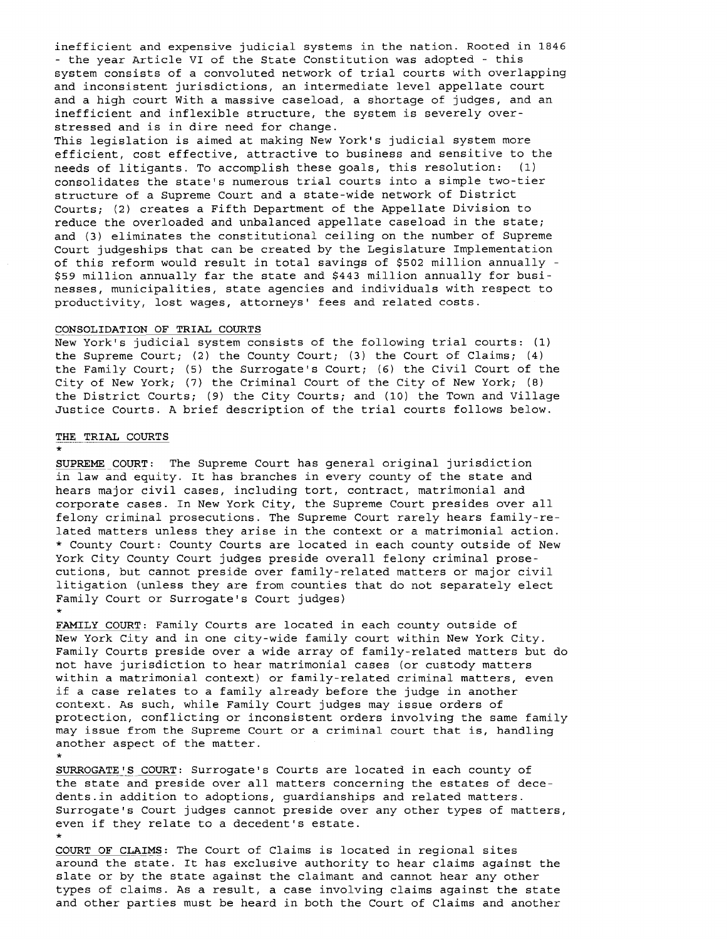inefficient and expensive judicial systems in the nation. Rooted in 1846 - the year Article VI of the State Constitution was adopted - this system consists of <sup>a</sup> convoluted network of trial courts with overlapping and inconsistent jurisdictions, an intermediate level appellate court and a high court With a massive caseload, a shortage of judges, and an inefficient and inflexible structure, the system is severely overstressed and is in dire need for change.

This legislation is aimed at making New York's judicial system more efficient, cost effective, attractive to business and sensitive to the needs of litigants. To accomplish these goals, this resolution: (1) consolidates the state's numerous trial courts into <sup>a</sup> simple two-tier structure of <sup>a</sup> Supreme Court and <sup>a</sup> state-wide network of District Courts; (2) creates a Fifth Department of the Appellate Division to reduce the overloaded and unbalanced appellate caseload in the state; and (3) eliminates the constitutional ceiling on the number of Supreme Court judgeships that can be created by the Legislature Implementation of this reform would result in total savings of \$502 million annually - \$59 million annually far the state and \$443 million annually for businesses, municipalities, state agencies and individuals with respect to productivity, lost wages, attorneys' fees and related costs.

## CONSOLIDATION OF TRIAL COURTS

New York's judicial system consists of the following trial courts: (1) the Supreme Court; (2) the County Court; (3) the Court of Claims; (4) the Family Court; (5) the Surrogate's Court; (6) the civil Court of the City of New York; (7) the Criminal Court of the City of New York; (8) the District Courts; (9) the City Courts; and (10) the Town and Village Justice Courts. <sup>A</sup> brief description of the trial courts follows below.

## THE TRIAL COURTS

\* SUPREME COURT: The Supreme Court has general original jurisdiction in law and equity. It has branches in every county of the state and hears major civil cases, including tort, contract, matrimonial and corporate cases. In New York City, the Supreme Court presides over all felony criminal prosecutions. The Supreme Court rarely hears family-related matters unless they arise in the context or <sup>a</sup> matrimonial action. \* County Court: County Courts are located in each county outside of New York City County Court judges preside overall felony criminal prosecutions, but cannot preside over family-related matters or major civil litigation (unless they are from counties that do not separately elect Family Court or Surrogate's Court judges) \*

FAMILY COURT: Family Courts are located in each county outside of New York City and in one city-wide family court within New York City. Family Courts preside over a wide array of family-related matters but do not have jurisdiction to hear matrimonial cases (or custody matters within a matrimonial context) or family-related criminal matters, even if <sup>a</sup> case relates to <sup>a</sup> family already before the judge in another context. As such, while Family Court judges may issue orders of protection, conflicting or inconsistent orders involving the same family may issue from the Supreme Court or <sup>a</sup> criminal court that is, handling another aspect of the matter.

\*<br><u>SURROGATE'S COURT</u>: Surrogate's Courts are located in each county of the state and preside over all matters concerning the estates of decedents.in addition to adoptions, guardianships and related matters. Surrogate's Court judges cannot preside over any other types of matters, even if they relate to <sup>a</sup> decedent's estate.

\*<br><u>COURT OF CLAIMS</u>: The Court of Claims is located in regional sites around the state. It has exclusive authority to hear claims against the slate or by the state against the claimant and cannot hear any other types of claims. As a result, <sup>a</sup> case involving claims against the state and other parties must be heard in both the Court of Claims and another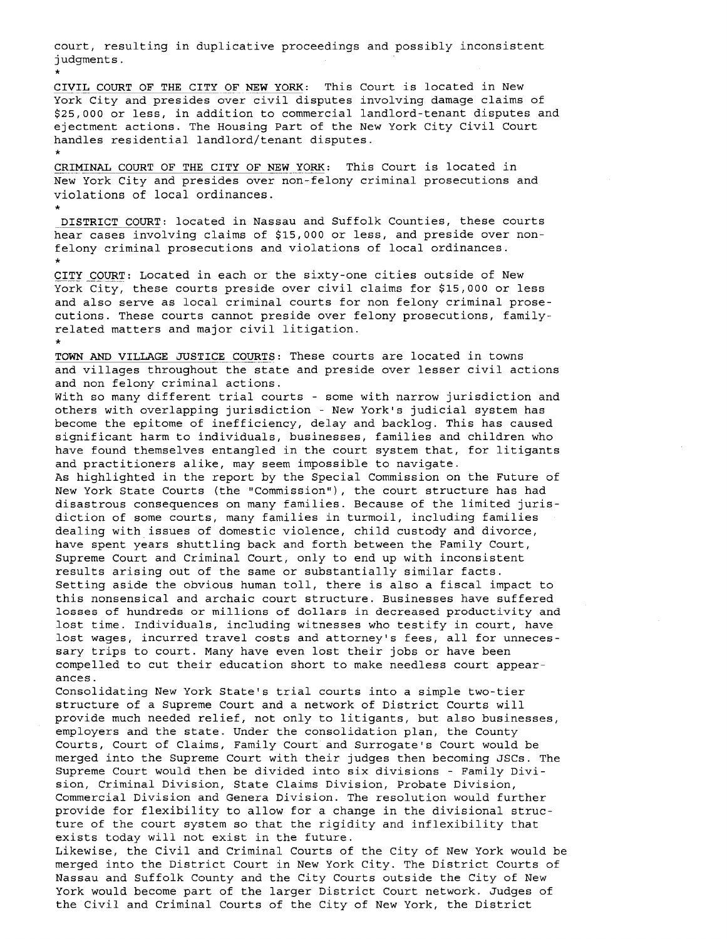court, resulting in duplicative proceedings and possibly inconsistent judgments.

\*

CIVIL COURT OF THE CITY OF NEW YORK: This Court is located in New York City and presides over civil disputes involving damage claims of \$25,000 or less, in addition to commercial landlord-tenant disputes and ejectment actions. The Housing Part of the New York City Civil Court handles residential landlord/tenant disputes.

\*<br><u>CRIMINAL COURT OF THE CITY OF NEW YORK</u>: This Court is located in New York City and presides over non-felony criminal prosecutions and violations of local ordinances.

\* DISTRICT COURT: located in Nassau and Suffolk Counties, these courts hear cases involving claims of \$15,000 or less, and preside over nonfelony criminal prosecutions and violations of local ordinances.

\*<br><u>CITY COURT</u>: Located in each or the sixty-one cities outside of New York City, these courts preside over civil claims for \$15,000 or less and also serve as local criminal courts for non felony criminal prosecutions. These courts cannot preside over felony prosecutions, familyrelated matters and major civil litigation.

\*<br><mark>TOWN AND VILLAGE JUSTICE COURTS</mark>: These courts are located in towns and villages throughout the state and preside over lesser civil actions and non felony criminal actions.

with so many different trial courts - some with narrow jurisdiction and others with overlapping jurisdiction - New York's judicial system has become the epitome of inefficiency, delay and backlog. This has caused significant harm to individuals, businesses, families and children who have found themselves entangled in the court system that, for litigants and practitioners alike, may seem impossible to navigate.

As highlighted in the report by the Special Commission on the Future of New York State Courts (the "Commission"), the court structure has had disastrous consequences on many families. Because of the limited jurisdiction of some courts, many families in turmoil, including families dealing with issues of domestic violence, child custody and divorce, have spent years shuttling back and forth between the Family Court, Supreme Court and Criminal Court, only to end up with inconsistent results arising out of the same or substantially similar facts. Setting aside the obvious human toll, there is also <sup>a</sup> fiscal impact to this nonsensical and archaic court structure. Businesses have suffered losses of hundreds or millions of dollars in decreased productivity and lost time. Individuals, including witnesses who testify in court, have lost wages, incurred travel costs and attorney's fees, all for unnecessary trips to court. Many have even lost their jobs or have been compelled to cut their education short to make needless court appearances.

Consolidating New York State's trial courts into <sup>a</sup> simple two-tier structure of <sup>a</sup> Supreme Court and <sup>a</sup> network of District Courts will provide much needed relief, not only to litigants, but also businesses, employers and the state. Under the consolidation plan, the County Courts, Court of Claims, Family Court and Surrogate's Court would be merged into the Supreme Court with their judges then becoming JSCs. The Supreme Court would then be divided into six divisions - Family Division, Criminal Division, State Claims Division, Probate Division, Commercial Division and Genera Division. The resolution would further provide for flexibility to allow for <sup>a</sup> change in the divisional structure of the court system so that the rigidity and inflexibility that exists today will not exist in the future.

Likewise, the civil and Criminal Courts of the City of New York would be merged into the District Court in New York City. The District Courts of Nassau and Suffolk County and the City Courts outside the City of New York would become part of the larger District Court network. Judges of the Civil and Criminal Courts of the City of New York, the District